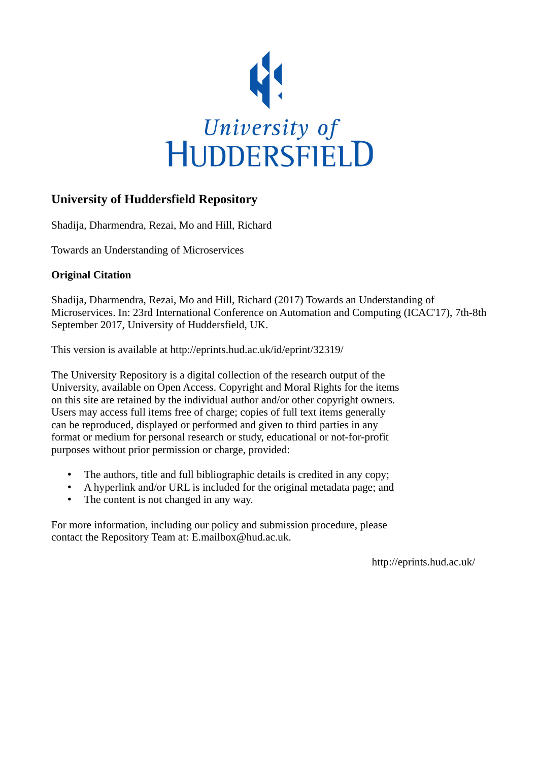

# **University of Huddersfield Repository**

Shadija, Dharmendra, Rezai, Mo and Hill, Richard

Towards an Understanding of Microservices

# **Original Citation**

Shadija, Dharmendra, Rezai, Mo and Hill, Richard (2017) Towards an Understanding of Microservices. In: 23rd International Conference on Automation and Computing (ICAC'17), 7th-8th September 2017, University of Huddersfield, UK.

This version is available at http://eprints.hud.ac.uk/id/eprint/32319/

The University Repository is a digital collection of the research output of the University, available on Open Access. Copyright and Moral Rights for the items on this site are retained by the individual author and/or other copyright owners. Users may access full items free of charge; copies of full text items generally can be reproduced, displayed or performed and given to third parties in any format or medium for personal research or study, educational or not-for-profit purposes without prior permission or charge, provided:

- The authors, title and full bibliographic details is credited in any copy;
- A hyperlink and/or URL is included for the original metadata page; and
- The content is not changed in any way.

For more information, including our policy and submission procedure, please contact the Repository Team at: E.mailbox@hud.ac.uk.

http://eprints.hud.ac.uk/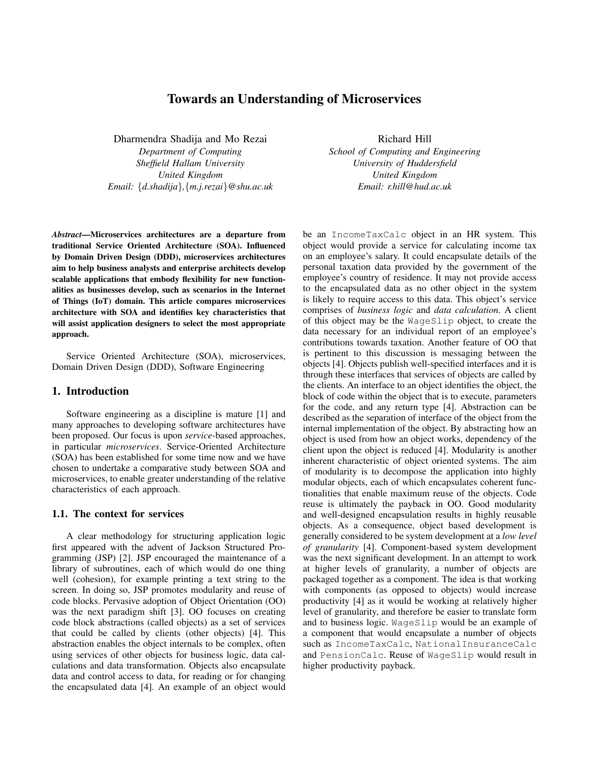# Towards an Understanding of Microservices

Dharmendra Shadija and Mo Rezai

*Department of Computing Sheffield Hallam University United Kingdom Email:* {*d.shadija*}*,*{*m.j.rezai*}*@shu.ac.uk*

*Abstract*—Microservices architectures are a departure from traditional Service Oriented Architecture (SOA). Influenced by Domain Driven Design (DDD), microservices architectures aim to help business analysts and enterprise architects develop scalable applications that embody flexibility for new functionalities as businesses develop, such as scenarios in the Internet of Things (IoT) domain. This article compares microservices architecture with SOA and identifies key characteristics that will assist application designers to select the most appropriate approach.

Service Oriented Architecture (SOA), microservices, Domain Driven Design (DDD), Software Engineering

## 1. Introduction

Software engineering as a discipline is mature [1] and many approaches to developing software architectures have been proposed. Our focus is upon *service*-based approaches, in particular *microservices*. Service-Oriented Architecture (SOA) has been established for some time now and we have chosen to undertake a comparative study between SOA and microservices, to enable greater understanding of the relative characteristics of each approach.

### 1.1. The context for services

A clear methodology for structuring application logic first appeared with the advent of Jackson Structured Programming (JSP) [2]. JSP encouraged the maintenance of a library of subroutines, each of which would do one thing well (cohesion), for example printing a text string to the screen. In doing so, JSP promotes modularity and reuse of code blocks. Pervasive adoption of Object Orientation (OO) was the next paradigm shift [3]. OO focuses on creating code block abstractions (called objects) as a set of services that could be called by clients (other objects) [4]. This abstraction enables the object internals to be complex, often using services of other objects for business logic, data calculations and data transformation. Objects also encapsulate data and control access to data, for reading or for changing the encapsulated data [4]. An example of an object would

Richard Hill *School of Computing and Engineering*

*University of Huddersfield United Kingdom Email: r.hill@hud.ac.uk*

be an IncomeTaxCalc object in an HR system. This object would provide a service for calculating income tax on an employee's salary. It could encapsulate details of the personal taxation data provided by the government of the employee's country of residence. It may not provide access to the encapsulated data as no other object in the system is likely to require access to this data. This object's service comprises of *business logic* and *data calculation*. A client of this object may be the WageSlip object, to create the data necessary for an individual report of an employee's contributions towards taxation. Another feature of OO that is pertinent to this discussion is messaging between the objects [4]. Objects publish well-specified interfaces and it is through these interfaces that services of objects are called by the clients. An interface to an object identifies the object, the block of code within the object that is to execute, parameters for the code, and any return type [4]. Abstraction can be described as the separation of interface of the object from the internal implementation of the object. By abstracting how an object is used from how an object works, dependency of the client upon the object is reduced [4]. Modularity is another inherent characteristic of object oriented systems. The aim of modularity is to decompose the application into highly modular objects, each of which encapsulates coherent functionalities that enable maximum reuse of the objects. Code reuse is ultimately the payback in OO. Good modularity and well-designed encapsulation results in highly reusable objects. As a consequence, object based development is generally considered to be system development at a *low level of granularity* [4]. Component-based system development was the next significant development. In an attempt to work at higher levels of granularity, a number of objects are packaged together as a component. The idea is that working with components (as opposed to objects) would increase productivity [4] as it would be working at relatively higher level of granularity, and therefore be easier to translate form and to business logic. WageSlip would be an example of a component that would encapsulate a number of objects such as IncomeTaxCalc, NationalInsuranceCalc and PensionCalc. Reuse of WageSlip would result in higher productivity payback.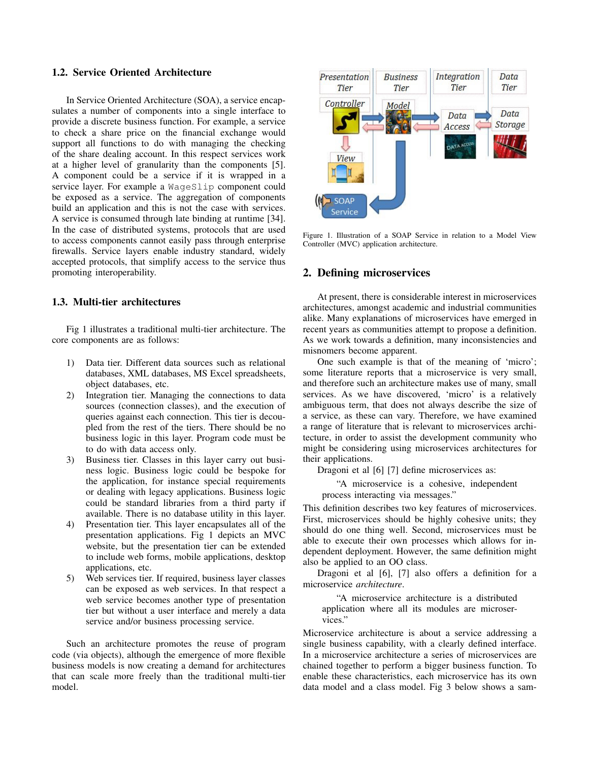# 1.2. Service Oriented Architecture

In Service Oriented Architecture (SOA), a service encapsulates a number of components into a single interface to provide a discrete business function. For example, a service to check a share price on the financial exchange would support all functions to do with managing the checking of the share dealing account. In this respect services work at a higher level of granularity than the components [5]. A component could be a service if it is wrapped in a service layer. For example a WageSlip component could be exposed as a service. The aggregation of components build an application and this is not the case with services. A service is consumed through late binding at runtime [34]. In the case of distributed systems, protocols that are used to access components cannot easily pass through enterprise firewalls. Service layers enable industry standard, widely accepted protocols, that simplify access to the service thus promoting interoperability.

### 1.3. Multi-tier architectures

Fig 1 illustrates a traditional multi-tier architecture. The core components are as follows:

- 1) Data tier. Different data sources such as relational databases, XML databases, MS Excel spreadsheets, object databases, etc.
- 2) Integration tier. Managing the connections to data sources (connection classes), and the execution of queries against each connection. This tier is decoupled from the rest of the tiers. There should be no business logic in this layer. Program code must be to do with data access only.
- 3) Business tier. Classes in this layer carry out business logic. Business logic could be bespoke for the application, for instance special requirements or dealing with legacy applications. Business logic could be standard libraries from a third party if available. There is no database utility in this layer.
- 4) Presentation tier. This layer encapsulates all of the presentation applications. Fig 1 depicts an MVC website, but the presentation tier can be extended to include web forms, mobile applications, desktop applications, etc.
- 5) Web services tier. If required, business layer classes can be exposed as web services. In that respect a web service becomes another type of presentation tier but without a user interface and merely a data service and/or business processing service.

Such an architecture promotes the reuse of program code (via objects), although the emergence of more flexible business models is now creating a demand for architectures that can scale more freely than the traditional multi-tier model.



Figure 1. Illustration of a SOAP Service in relation to a Model View Controller (MVC) application architecture.

### 2. Defining microservices

At present, there is considerable interest in microservices architectures, amongst academic and industrial communities alike. Many explanations of microservices have emerged in recent years as communities attempt to propose a definition. As we work towards a definition, many inconsistencies and misnomers become apparent.

One such example is that of the meaning of 'micro'; some literature reports that a microservice is very small, and therefore such an architecture makes use of many, small services. As we have discovered, 'micro' is a relatively ambiguous term, that does not always describe the size of a service, as these can vary. Therefore, we have examined a range of literature that is relevant to microservices architecture, in order to assist the development community who might be considering using microservices architectures for their applications.

Dragoni et al [6] [7] define microservices as:

"A microservice is a cohesive, independent process interacting via messages."

This definition describes two key features of microservices. First, microservices should be highly cohesive units; they should do one thing well. Second, microservices must be able to execute their own processes which allows for independent deployment. However, the same definition might also be applied to an OO class.

Dragoni et al [6], [7] also offers a definition for a microservice *architecture*.

"A microservice architecture is a distributed application where all its modules are microservices."

Microservice architecture is about a service addressing a single business capability, with a clearly defined interface. In a microservice architecture a series of microservices are chained together to perform a bigger business function. To enable these characteristics, each microservice has its own data model and a class model. Fig 3 below shows a sam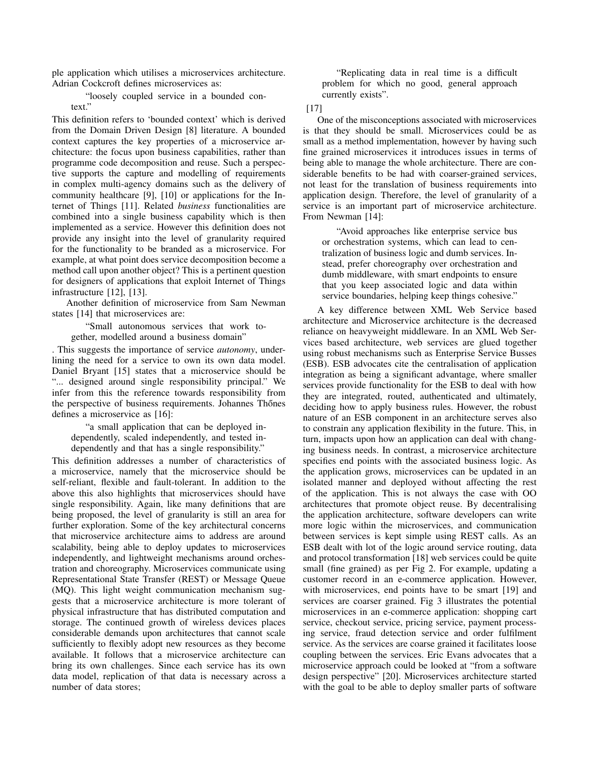ple application which utilises a microservices architecture. Adrian Cockcroft defines microservices as:

"loosely coupled service in a bounded context."

This definition refers to 'bounded context' which is derived from the Domain Driven Design [8] literature. A bounded context captures the key properties of a microservice architecture: the focus upon business capabilities, rather than programme code decomposition and reuse. Such a perspective supports the capture and modelling of requirements in complex multi-agency domains such as the delivery of community healthcare [9], [10] or applications for the Internet of Things [11]. Related *business* functionalities are combined into a single business capability which is then implemented as a service. However this definition does not provide any insight into the level of granularity required for the functionality to be branded as a microservice. For example, at what point does service decomposition become a method call upon another object? This is a pertinent question for designers of applications that exploit Internet of Things infrastructure [12], [13].

Another definition of microservice from Sam Newman states [14] that microservices are:

"Small autonomous services that work together, modelled around a business domain"

. This suggests the importance of service *autonomy*, underlining the need for a service to own its own data model. Daniel Bryant [15] states that a microservice should be "... designed around single responsibility principal." We infer from this the reference towards responsibility from the perspective of business requirements. Johannes Thones defines a microservice as [16]:

"a small application that can be deployed independently, scaled independently, and tested independently and that has a single responsibility."

This definition addresses a number of characteristics of a microservice, namely that the microservice should be self-reliant, flexible and fault-tolerant. In addition to the above this also highlights that microservices should have single responsibility. Again, like many definitions that are being proposed, the level of granularity is still an area for further exploration. Some of the key architectural concerns that microservice architecture aims to address are around scalability, being able to deploy updates to microservices independently, and lightweight mechanisms around orchestration and choreography. Microservices communicate using Representational State Transfer (REST) or Message Queue (MQ). This light weight communication mechanism suggests that a microservice architecture is more tolerant of physical infrastructure that has distributed computation and storage. The continued growth of wireless devices places considerable demands upon architectures that cannot scale sufficiently to flexibly adopt new resources as they become available. It follows that a microservice architecture can bring its own challenges. Since each service has its own data model, replication of that data is necessary across a number of data stores;

"Replicating data in real time is a difficult problem for which no good, general approach currently exists".

### [17]

One of the misconceptions associated with microservices is that they should be small. Microservices could be as small as a method implementation, however by having such fine grained microservices it introduces issues in terms of being able to manage the whole architecture. There are considerable benefits to be had with coarser-grained services, not least for the translation of business requirements into application design. Therefore, the level of granularity of a service is an important part of microservice architecture. From Newman [14]:

"Avoid approaches like enterprise service bus or orchestration systems, which can lead to centralization of business logic and dumb services. Instead, prefer choreography over orchestration and dumb middleware, with smart endpoints to ensure that you keep associated logic and data within service boundaries, helping keep things cohesive."

A key difference between XML Web Service based architecture and Microservice architecture is the decreased reliance on heavyweight middleware. In an XML Web Services based architecture, web services are glued together using robust mechanisms such as Enterprise Service Busses (ESB). ESB advocates cite the centralisation of application integration as being a significant advantage, where smaller services provide functionality for the ESB to deal with how they are integrated, routed, authenticated and ultimately, deciding how to apply business rules. However, the robust nature of an ESB component in an architecture serves also to constrain any application flexibility in the future. This, in turn, impacts upon how an application can deal with changing business needs. In contrast, a microservice architecture specifies end points with the associated business logic. As the application grows, microservices can be updated in an isolated manner and deployed without affecting the rest of the application. This is not always the case with OO architectures that promote object reuse. By decentralising the application architecture, software developers can write more logic within the microservices, and communication between services is kept simple using REST calls. As an ESB dealt with lot of the logic around service routing, data and protocol transformation [18] web services could be quite small (fine grained) as per Fig 2. For example, updating a customer record in an e-commerce application. However, with microservices, end points have to be smart [19] and services are coarser grained. Fig 3 illustrates the potential microservices in an e-commerce application: shopping cart service, checkout service, pricing service, payment processing service, fraud detection service and order fulfilment service. As the services are coarse grained it facilitates loose coupling between the services. Eric Evans advocates that a microservice approach could be looked at "from a software design perspective" [20]. Microservices architecture started with the goal to be able to deploy smaller parts of software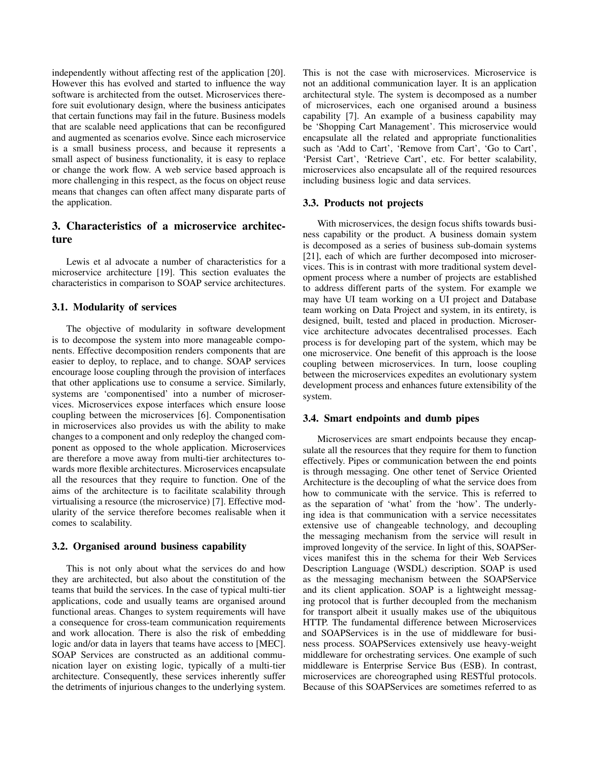independently without affecting rest of the application [20]. However this has evolved and started to influence the way software is architected from the outset. Microservices therefore suit evolutionary design, where the business anticipates that certain functions may fail in the future. Business models that are scalable need applications that can be reconfigured and augmented as scenarios evolve. Since each microservice is a small business process, and because it represents a small aspect of business functionality, it is easy to replace or change the work flow. A web service based approach is more challenging in this respect, as the focus on object reuse means that changes can often affect many disparate parts of the application.

# 3. Characteristics of a microservice architecture

Lewis et al advocate a number of characteristics for a microservice architecture [19]. This section evaluates the characteristics in comparison to SOAP service architectures.

### 3.1. Modularity of services

The objective of modularity in software development is to decompose the system into more manageable components. Effective decomposition renders components that are easier to deploy, to replace, and to change. SOAP services encourage loose coupling through the provision of interfaces that other applications use to consume a service. Similarly, systems are 'componentised' into a number of microservices. Microservices expose interfaces which ensure loose coupling between the microservices [6]. Componentisation in microservices also provides us with the ability to make changes to a component and only redeploy the changed component as opposed to the whole application. Microservices are therefore a move away from multi-tier architectures towards more flexible architectures. Microservices encapsulate all the resources that they require to function. One of the aims of the architecture is to facilitate scalability through virtualising a resource (the microservice) [7]. Effective modularity of the service therefore becomes realisable when it comes to scalability.

### 3.2. Organised around business capability

This is not only about what the services do and how they are architected, but also about the constitution of the teams that build the services. In the case of typical multi-tier applications, code and usually teams are organised around functional areas. Changes to system requirements will have a consequence for cross-team communication requirements and work allocation. There is also the risk of embedding logic and/or data in layers that teams have access to [MEC]. SOAP Services are constructed as an additional communication layer on existing logic, typically of a multi-tier architecture. Consequently, these services inherently suffer the detriments of injurious changes to the underlying system. This is not the case with microservices. Microservice is not an additional communication layer. It is an application architectural style. The system is decomposed as a number of microservices, each one organised around a business capability [7]. An example of a business capability may be 'Shopping Cart Management'. This microservice would encapsulate all the related and appropriate functionalities such as 'Add to Cart', 'Remove from Cart', 'Go to Cart', 'Persist Cart', 'Retrieve Cart', etc. For better scalability, microservices also encapsulate all of the required resources including business logic and data services.

### 3.3. Products not projects

With microservices, the design focus shifts towards business capability or the product. A business domain system is decomposed as a series of business sub-domain systems [21], each of which are further decomposed into microservices. This is in contrast with more traditional system development process where a number of projects are established to address different parts of the system. For example we may have UI team working on a UI project and Database team working on Data Project and system, in its entirety, is designed, built, tested and placed in production. Microservice architecture advocates decentralised processes. Each process is for developing part of the system, which may be one microservice. One benefit of this approach is the loose coupling between microservices. In turn, loose coupling between the microservices expedites an evolutionary system development process and enhances future extensibility of the system.

#### 3.4. Smart endpoints and dumb pipes

Microservices are smart endpoints because they encapsulate all the resources that they require for them to function effectively. Pipes or communication between the end points is through messaging. One other tenet of Service Oriented Architecture is the decoupling of what the service does from how to communicate with the service. This is referred to as the separation of 'what' from the 'how'. The underlying idea is that communication with a service necessitates extensive use of changeable technology, and decoupling the messaging mechanism from the service will result in improved longevity of the service. In light of this, SOAPServices manifest this in the schema for their Web Services Description Language (WSDL) description. SOAP is used as the messaging mechanism between the SOAPService and its client application. SOAP is a lightweight messaging protocol that is further decoupled from the mechanism for transport albeit it usually makes use of the ubiquitous HTTP. The fundamental difference between Microservices and SOAPServices is in the use of middleware for business process. SOAPServices extensively use heavy-weight middleware for orchestrating services. One example of such middleware is Enterprise Service Bus (ESB). In contrast, microservices are choreographed using RESTful protocols. Because of this SOAPServices are sometimes referred to as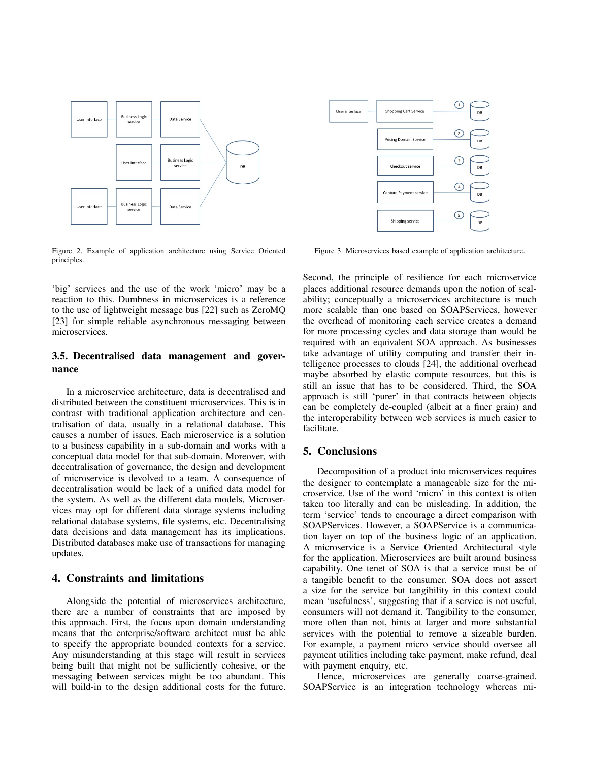

Figure 2. Example of application architecture using Service Oriented principles.

'big' services and the use of the work 'micro' may be a reaction to this. Dumbness in microservices is a reference to the use of lightweight message bus [22] such as ZeroMQ [23] for simple reliable asynchronous messaging between microservices.

# 3.5. Decentralised data management and governance

In a microservice architecture, data is decentralised and distributed between the constituent microservices. This is in contrast with traditional application architecture and centralisation of data, usually in a relational database. This causes a number of issues. Each microservice is a solution to a business capability in a sub-domain and works with a conceptual data model for that sub-domain. Moreover, with decentralisation of governance, the design and development of microservice is devolved to a team. A consequence of decentralisation would be lack of a unified data model for the system. As well as the different data models, Microservices may opt for different data storage systems including relational database systems, file systems, etc. Decentralising data decisions and data management has its implications. Distributed databases make use of transactions for managing updates.

# 4. Constraints and limitations

Alongside the potential of microservices architecture, there are a number of constraints that are imposed by this approach. First, the focus upon domain understanding means that the enterprise/software architect must be able to specify the appropriate bounded contexts for a service. Any misunderstanding at this stage will result in services being built that might not be sufficiently cohesive, or the messaging between services might be too abundant. This will build-in to the design additional costs for the future.



Figure 3. Microservices based example of application architecture.

Second, the principle of resilience for each microservice places additional resource demands upon the notion of scalability; conceptually a microservices architecture is much more scalable than one based on SOAPServices, however the overhead of monitoring each service creates a demand for more processing cycles and data storage than would be required with an equivalent SOA approach. As businesses take advantage of utility computing and transfer their intelligence processes to clouds [24], the additional overhead maybe absorbed by elastic compute resources, but this is still an issue that has to be considered. Third, the SOA approach is still 'purer' in that contracts between objects can be completely de-coupled (albeit at a finer grain) and the interoperability between web services is much easier to facilitate.

# 5. Conclusions

Decomposition of a product into microservices requires the designer to contemplate a manageable size for the microservice. Use of the word 'micro' in this context is often taken too literally and can be misleading. In addition, the term 'service' tends to encourage a direct comparison with SOAPServices. However, a SOAPService is a communication layer on top of the business logic of an application. A microservice is a Service Oriented Architectural style for the application. Microservices are built around business capability. One tenet of SOA is that a service must be of a tangible benefit to the consumer. SOA does not assert a size for the service but tangibility in this context could mean 'usefulness', suggesting that if a service is not useful, consumers will not demand it. Tangibility to the consumer, more often than not, hints at larger and more substantial services with the potential to remove a sizeable burden. For example, a payment micro service should oversee all payment utilities including take payment, make refund, deal with payment enquiry, etc.

Hence, microservices are generally coarse-grained. SOAPService is an integration technology whereas mi-